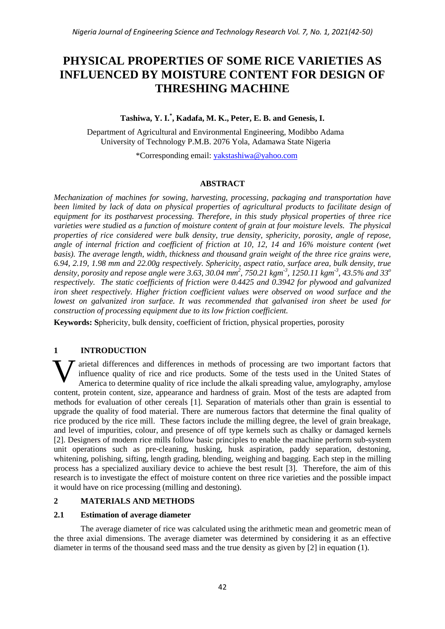# **PHYSICAL PROPERTIES OF SOME RICE VARIETIES AS INFLUENCED BY MOISTURE CONTENT FOR DESIGN OF THRESHING MACHINE**

# **Tashiwa, Y. I.\* , Kadafa, M. K., Peter, E. B. and Genesis, I.**

Department of Agricultural and Environmental Engineering, Modibbo Adama University of Technology P.M.B. 2076 Yola, Adamawa State Nigeria

\*Corresponding email: [yakstashiwa@yahoo.com](mailto:yakstashiwa@yahoo.com)

# **ABSTRACT**

*Mechanization of machines for sowing, harvesting, processing, packaging and transportation have been limited by lack of data on physical properties of agricultural products to facilitate design of equipment for its postharvest processing. Therefore, in this study physical properties of three rice varieties were studied as a function of moisture content of grain at four moisture levels. The physical properties of rice considered were bulk density, true density, sphericity, porosity, angle of repose, angle of internal friction and coefficient of friction at 10, 12, 14 and 16% moisture content (wet basis). The average length, width, thickness and thousand grain weight of the three rice grains were, 6.94, 2.19, 1.98 mm and 22.00g respectively. Sphericity, aspect ratio, surface area, bulk density, true density, porosity and repose angle were 3.63, 30.04 mm 2 , 750.21 kgm-3 , 1250.11 kgm-3 , 43.5% and 33<sup>o</sup> respectively. The static coefficients of friction were 0.4425 and 0.3942 for plywood and galvanized iron sheet respectively. Higher friction coefficient values were observed on wood surface and the lowest on galvanized iron surface. It was recommended that galvanised iron sheet be used for construction of processing equipment due to its low friction coefficient.*

**Keywords: S**phericity, bulk density, coefficient of friction, physical properties, porosity

# **1 INTRODUCTION**

arietal differences and differences in methods of processing are two important factors that influence quality of rice and rice products. Some of the tests used in the United States of America to determine quality of rice include the alkali spreading value, amylography, amylose content, protein content, size, appearance and hardness of grain. Most of the tests are adapted from methods for evaluation of other cereals [1]. Separation of materials other than grain is essential to upgrade the quality of food material. There are numerous factors that determine the final quality of rice produced by the rice mill. These factors include the milling degree, the level of grain breakage, and level of impurities, colour, and presence of off type kernels such as chalky or damaged kernels [2]. Designers of modern rice mills follow basic principles to enable the machine perform sub-system unit operations such as pre-cleaning, husking, husk aspiration, paddy separation, destoning, whitening, polishing, sifting, length grading, blending, weighing and bagging. Each step in the milling process has a specialized auxiliary device to achieve the best result [3]. Therefore, the aim of this research is to investigate the effect of moisture content on three rice varieties and the possible impact it would have on rice processing (milling and destoning). V

# **2 MATERIALS AND METHODS**

## **2.1 Estimation of average diameter**

The average diameter of rice was calculated using the arithmetic mean and geometric mean of the three axial dimensions. The average diameter was determined by considering it as an effective diameter in terms of the thousand seed mass and the true density as given by [2] in equation (1).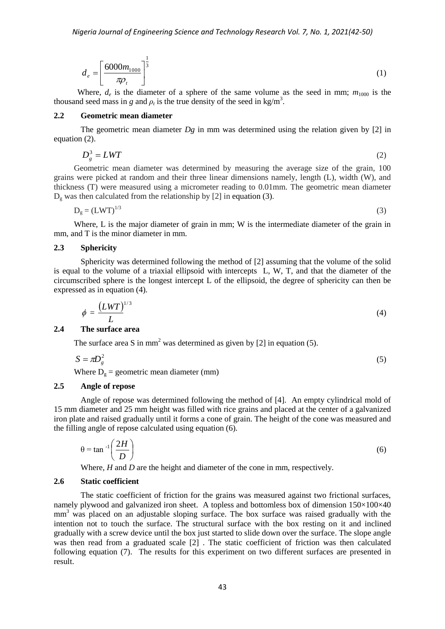$$
d_e = \left[\frac{6000m_{1000}}{\pi \rho_t}\right]^{\frac{1}{3}}
$$
 (1)

Where,  $d_e$  is the diameter of a sphere of the same volume as the seed in mm;  $m_{1000}$  is the thousand seed mass in *g* and  $\rho_t$  is the true density of the seed in kg/m<sup>3</sup>.

#### **2.2 Geometric mean diameter**

The geometric mean diameter *Dg* in mm was determined using the relation given by [2] in equation (2).

$$
D_s^3 = LWT \tag{2}
$$

Geometric mean diameter was determined by measuring the average size of the grain, 100 grains were picked at random and their three linear dimensions namely, length (L), width (W), and thickness (T) were measured using a micrometer reading to 0.01mm. The geometric mean diameter  $D<sub>o</sub>$  was then calculated from the relationship by [2] in equation (3).

$$
D_g = (LWT)^{1/3} \tag{3}
$$

Where, L is the major diameter of grain in mm; W is the intermediate diameter of the grain in mm, and T is the minor diameter in mm.

#### **2.3 Sphericity**

Sphericity was determined following the method of [2] assuming that the volume of the solid is equal to the volume of a triaxial ellipsoid with intercepts L, W, T, and that the diameter of the circumscribed sphere is the longest intercept L of the ellipsoid, the degree of sphericity can then be expressed as in equation (4).

$$
\phi = \frac{(LWT)^{1/3}}{L} \tag{4}
$$

#### **2.4 The surface area**

The surface area S in mm<sup>2</sup> was determined as given by [2] in equation (5).

$$
S = \pi D_g^2 \tag{5}
$$

Where  $D_g$  = geometric mean diameter (mm)

#### **2.5 Angle of repose**

Angle of repose was determined following the method of [4]. An empty cylindrical mold of 15 mm diameter and 25 mm height was filled with rice grains and placed at the center of a galvanized iron plate and raised gradually until it forms a cone of grain. The height of the cone was measured and the filling angle of repose calculated using equation (6).

$$
\theta = \tan^{-1} \left( \frac{2H}{D} \right) \tag{6}
$$

Where, *H* and *D* are the height and diameter of the cone in mm, respectively.

#### **2.6 Static coefficient**

The static coefficient of friction for the grains was measured against two frictional surfaces, namely plywood and galvanized iron sheet. A topless and bottomless box of dimension  $150\times100\times40$ mm<sup>3</sup> was placed on an adjustable sloping surface. The box surface was raised gradually with the intention not to touch the surface. The structural surface with the box resting on it and inclined gradually with a screw device until the box just started to slide down over the surface. The slope angle was then read from a graduated scale [2] . The static coefficient of friction was then calculated following equation (7). The results for this experiment on two different surfaces are presented in result.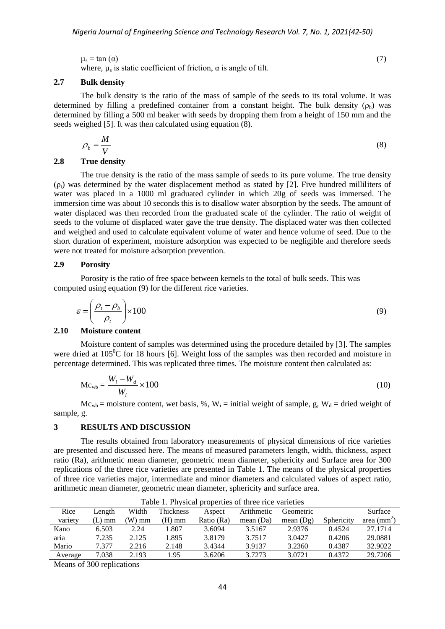$\mu_{\rm s}$  = tan ( $\alpha$ ) (7) where,  $\mu_s$  is static coefficient of friction,  $\alpha$  is angle of tilt.

#### **2.7 Bulk density**

The bulk density is the ratio of the mass of sample of the seeds to its total volume. It was determined by filling a predefined container from a constant height. The bulk density  $(\rho_b)$  was determined by filling a 500 ml beaker with seeds by dropping them from a height of 150 mm and the seeds weighed [5]. It was then calculated using equation (8).

$$
\rho_b = \frac{M}{V} \tag{8}
$$

## **2.8 True density**

The true density is the ratio of the mass sample of seeds to its pure volume. The true density  $(\rho_t)$  was determined by the water displacement method as stated by [2]. Five hundred milliliters of water was placed in a 1000 ml graduated cylinder in which 20g of seeds was immersed. The immersion time was about 10 seconds this is to disallow water absorption by the seeds. The amount of water displaced was then recorded from the graduated scale of the cylinder. The ratio of weight of seeds to the volume of displaced water gave the true density. The displaced water was then collected and weighed and used to calculate equivalent volume of water and hence volume of seed. Due to the short duration of experiment, moisture adsorption was expected to be negligible and therefore seeds were not treated for moisture adsorption prevention.

### **2.9 Porosity**

Porosity is the ratio of free space between kernels to the total of bulk seeds. This was computed using equation (9) for the different rice varieties.

$$
\varepsilon = \left(\frac{\rho_t - \rho_b}{\rho_t}\right) \times 100\tag{9}
$$

#### **2.10 Moisture content**

Moisture content of samples was determined using the procedure detailed by [3]. The samples were dried at  $105^{\circ}$ C for 18 hours [6]. Weight loss of the samples was then recorded and moisture in percentage determined. This was replicated three times. The moisture content then calculated as:

$$
Mc_{wb} = \frac{W_i - W_d}{W_i} \times 100
$$
\n(10)

 $Mc_{wb}$  = moisture content, wet basis, %, W<sub>i</sub> = initial weight of sample, g, W<sub>d</sub> = dried weight of sample, g.

#### **3 RESULTS AND DISCUSSION**

The results obtained from laboratory measurements of physical dimensions of rice varieties are presented and discussed here. The means of measured parameters length, width, thickness, aspect ratio (Ra), arithmetic mean diameter, geometric mean diameter, sphericity and Surface area for 300 replications of the three rice varieties are presented in Table 1. The means of the physical properties of three rice varieties major, intermediate and minor diameters and calculated values of aspect ratio, arithmetic mean diameter, geometric mean diameter, sphericity and surface area.

|         |        |       |           |            | Tuble 1. I hypical properties of three rice varieties |             |            |              |
|---------|--------|-------|-----------|------------|-------------------------------------------------------|-------------|------------|--------------|
| Rice    | Length | Width | Thickness | Aspect     | Arithmetic                                            | Geometric   |            | Surface      |
| variety | (L) mm | W) mm | (H) mm    | Ratio (Ra) | mean $(Da)$                                           | mean $(Dg)$ | Sphericity | area $(mm2)$ |
| Kano    | 6.503  | 2.24  | 1.807     | 3.6094     | 3.5167                                                | 2.9376      | 0.4524     | 27.1714      |
| aria    | 7.235  | 2.125 | 1.895     | 3.8179     | 3.7517                                                | 3.0427      | 0.4206     | 29.0881      |
| Mario   | 7.377  | 2.216 | 2.148     | 3.4344     | 3.9137                                                | 3.2360      | 0.4387     | 32.9022      |
| Average | 7.038  | 2.193 | 1.95      | 3.6206     | 3.7273                                                | 3.0721      | 0.4372     | 29.7206      |

Table 1. Physical properties of three rice varieties

Means of 300 replications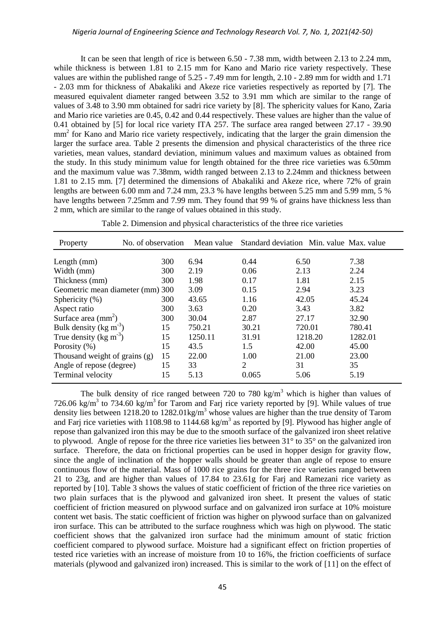It can be seen that length of rice is between 6.50 - 7.38 mm, width between 2.13 to 2.24 mm, while thickness is between 1.81 to 2.15 mm for Kano and Mario rice variety respectively. These values are within the published range of 5.25 - 7.49 mm for length, 2.10 - 2.89 mm for width and 1.71 - 2.03 mm for thickness of Abakaliki and Akeze rice varieties respectively as reported by [7]. The measured equivalent diameter ranged between 3.52 to 3.91 mm which are similar to the range of values of 3.48 to 3.90 mm obtained for sadri rice variety by [8]. The sphericity values for Kano, Zaria and Mario rice varieties are 0.45, 0.42 and 0.44 respectively. These values are higher than the value of 0.41 obtained by [5] for local rice variety ITA 257. The surface area ranged between 27.17 - 39.90 mm<sup>2</sup> for Kano and Mario rice variety respectively, indicating that the larger the grain dimension the larger the surface area. Table 2 presents the dimension and physical characteristics of the three rice varieties, mean values, standard deviation, minimum values and maximum values as obtained from the study. In this study minimum value for length obtained for the three rice varieties was 6.50mm and the maximum value was 7.38mm, width ranged between 2.13 to 2.24mm and thickness between 1.81 to 2.15 mm. [7] determined the dimensions of Abakaliki and Akeze rice, where 72% of grain lengths are between 6.00 mm and 7.24 mm, 23.3 % have lengths between 5.25 mm and 5.99 mm, 5 % have lengths between 7.25mm and 7.99 mm. They found that 99 % of grains have thickness less than 2 mm, which are similar to the range of values obtained in this study.

| Property                             | No. of observation | Mean value |                             | Standard deviation Min. value Max. value |         |
|--------------------------------------|--------------------|------------|-----------------------------|------------------------------------------|---------|
| Length $(mm)$                        | 300                | 6.94       | 0.44                        | 6.50                                     | 7.38    |
| Width (mm)                           | 300                | 2.19       | 0.06                        | 2.13                                     | 2.24    |
| Thickness (mm)                       | 300                | 1.98       | 0.17                        | 1.81                                     | 2.15    |
| Geometric mean diameter (mm) 300     |                    | 3.09       | 0.15                        | 2.94                                     | 3.23    |
| Sphericity $(\%)$                    | 300                | 43.65      | 1.16                        | 42.05                                    | 45.24   |
| Aspect ratio                         | 300                | 3.63       | 0.20                        | 3.43                                     | 3.82    |
| Surface area $\text{(mm)}^2$         | 300                | 30.04      | 2.87                        | 27.17                                    | 32.90   |
| Bulk density ( $kg \text{ m}^{-3}$ ) | 15                 | 750.21     | 30.21                       | 720.01                                   | 780.41  |
| True density ( $\text{kg m}^{-3}$ )  | 15                 | 1250.11    | 31.91                       | 1218.20                                  | 1282.01 |
| Porosity (%)                         | 15                 | 43.5       | 1.5                         | 42.00                                    | 45.00   |
| Thousand weight of grains (g)        | 15                 | 22.00      | 1.00                        | 21.00                                    | 23.00   |
| Angle of repose (degree)             | 15                 | 33         | $\mathcal{D}_{\mathcal{L}}$ | 31                                       | 35      |
| Terminal velocity                    | 15                 | 5.13       | 0.065                       | 5.06                                     | 5.19    |

Table 2. Dimension and physical characteristics of the three rice varieties

The bulk density of rice ranged between 720 to 780 kg/m<sup>3</sup> which is higher than values of 726.06 kg/m<sup>3</sup> to 734.60 kg/m<sup>3</sup> for Tarom and Farj rice variety reported by [9]. While values of true density lies between 1218.20 to 1282.01kg/m<sup>3</sup> whose values are higher than the true density of Tarom and Farj rice varieties with 1108.98 to 1144.68 kg/m<sup>3</sup> as reported by [9]. Plywood has higher angle of repose than galvanized iron this may be due to the smooth surface of the galvanized iron sheet relative to plywood. Angle of repose for the three rice varieties lies between 31° to 35° on the galvanized iron surface. Therefore, the data on frictional properties can be used in hopper design for gravity flow, since the angle of inclination of the hopper walls should be greater than angle of repose to ensure continuous flow of the material. Mass of 1000 rice grains for the three rice varieties ranged between 21 to 23g, and are higher than values of 17.84 to 23.61g for Farj and Ramezani rice variety as reported by [10]. Table 3 shows the values of static coefficient of friction of the three rice varieties on two plain surfaces that is the plywood and galvanized iron sheet. It present the values of static coefficient of friction measured on plywood surface and on galvanized iron surface at 10% moisture content wet basis. The static coefficient of friction was higher on plywood surface than on galvanized iron surface. This can be attributed to the surface roughness which was high on plywood. The static coefficient shows that the galvanized iron surface had the minimum amount of static friction coefficient compared to plywood surface. Moisture had a significant effect on friction properties of tested rice varieties with an increase of moisture from 10 to 16%, the friction coefficients of surface materials (plywood and galvanized iron) increased. This is similar to the work of [11] on the effect of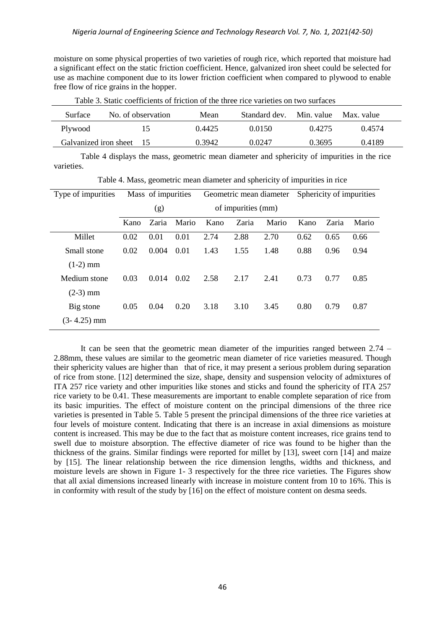moisture on some physical properties of two varieties of rough rice, which reported that moisture had a significant effect on the static friction coefficient. Hence, galvanized iron sheet could be selected for use as machine component due to its lower friction coefficient when compared to plywood to enable free flow of rice grains in the hopper.

| Surface | No. of observation       | Mean   | Standard dev. | Min. value | Max. value |
|---------|--------------------------|--------|---------------|------------|------------|
| Plywood | 15                       | 0.4425 | 0.0150        | 0.4275     | 0.4574     |
|         | Galvanized iron sheet 15 | 0.3942 | 0.0247        | 0.3695     | 0.4189     |

Table 3. Static coefficients of friction of the three rice varieties on two surfaces

Table 4 displays the mass, geometric mean diameter and sphericity of impurities in the rice varieties.

| Type of impurities | Mass of impurities |       |                    | Geometric mean diameter |       |       | Sphericity of impurities |       |       |
|--------------------|--------------------|-------|--------------------|-------------------------|-------|-------|--------------------------|-------|-------|
|                    | (g)                |       | of impurities (mm) |                         |       |       |                          |       |       |
|                    | Kano               | Zaria | Mario              | Kano                    | Zaria | Mario | Kano                     | Zaria | Mario |
| Millet             | 0.02               | 0.01  | 0.01               | 2.74                    | 2.88  | 2.70  | 0.62                     | 0.65  | 0.66  |
| Small stone        | 0.02               | 0.004 | 0.01               | 1.43                    | 1.55  | 1.48  | 0.88                     | 0.96  | 0.94  |
| $(1-2)$ mm         |                    |       |                    |                         |       |       |                          |       |       |
| Medium stone       | 0.03               | 0.014 | 0.02               | 2.58                    | 2.17  | 2.41  | 0.73                     | 0.77  | 0.85  |
| $(2-3)$ mm         |                    |       |                    |                         |       |       |                          |       |       |
| Big stone          | 0.05               | 0.04  | 0.20               | 3.18                    | 3.10  | 3.45  | 0.80                     | 0.79  | 0.87  |
| $(3-4.25)$ mm      |                    |       |                    |                         |       |       |                          |       |       |

Table 4. Mass, geometric mean diameter and sphericity of impurities in rice

It can be seen that the geometric mean diameter of the impurities ranged between 2.74 – 2.88mm, these values are similar to the geometric mean diameter of rice varieties measured. Though their sphericity values are higher than that of rice, it may present a serious problem during separation of rice from stone. [12] determined the size, shape, density and suspension velocity of admixtures of ITA 257 rice variety and other impurities like stones and sticks and found the sphericity of ITA 257 rice variety to be 0.41. These measurements are important to enable complete separation of rice from its basic impurities. The effect of moisture content on the principal dimensions of the three rice varieties is presented in Table 5. Table 5 present the principal dimensions of the three rice varieties at four levels of moisture content. Indicating that there is an increase in axial dimensions as moisture content is increased. This may be due to the fact that as moisture content increases, rice grains tend to swell due to moisture absorption. The effective diameter of rice was found to be higher than the thickness of the grains. Similar findings were reported for millet by [13], sweet corn [14] and maize by [15]. The linear relationship between the rice dimension lengths, widths and thickness, and moisture levels are shown in Figure 1- 3 respectively for the three rice varieties. The Figures show that all axial dimensions increased linearly with increase in moisture content from 10 to 16%. This is in conformity with result of the study by [16] on the effect of moisture content on desma seeds.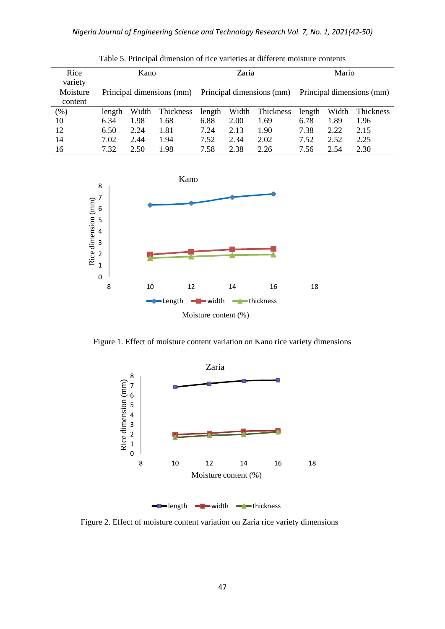| Rice<br>variety     |                           | Kano  |           | Zaria                     |       |           | Mario                     |       |           |  |
|---------------------|---------------------------|-------|-----------|---------------------------|-------|-----------|---------------------------|-------|-----------|--|
| Moisture<br>content | Principal dimensions (mm) |       |           | Principal dimensions (mm) |       |           | Principal dimensions (mm) |       |           |  |
| $(\% )$             | length                    | Width | Thickness | length                    | Width | Thickness | length                    | Width | Thickness |  |
| 10                  | 6.34                      | 1.98  | 1.68      | 6.88                      | 2.00  | 1.69      | 6.78                      | 1.89  | 1.96      |  |
| 12                  | 6.50                      | 2.24  | 1.81      | 7.24                      | 2.13  | 1.90      | 7.38                      | 2.22  | 2.15      |  |
| 14                  | 7.02                      | 2.44  | 1.94      | 7.52                      | 2.34  | 2.02      | 7.52                      | 2.52  | 2.25      |  |
| 16                  | 7.32                      | 2.50  | 1.98      | 7.58                      | 2.38  | 2.26      | 7.56                      | 2.54  | 2.30      |  |

Table 5. Principal dimension of rice varieties at different moisture contents



Figure 1. Effect of moisture content variation on Kano rice variety dimensions



Figure 2. Effect of moisture content variation on Zaria rice variety dimensions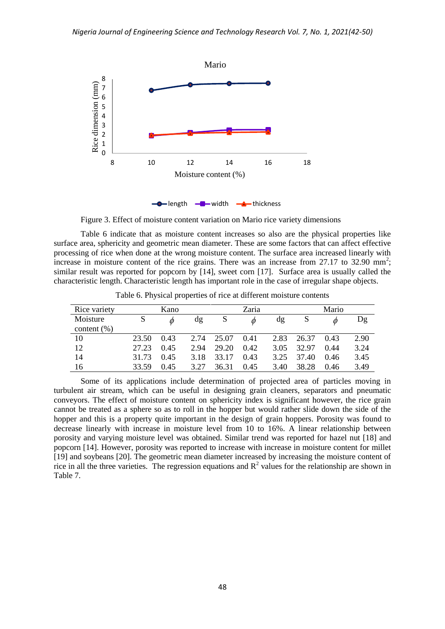

Figure 3. Effect of moisture content variation on Mario rice variety dimensions

Table 6 indicate that as moisture content increases so also are the physical properties like surface area, sphericity and geometric mean diameter. These are some factors that can affect effective processing of rice when done at the wrong moisture content. The surface area increased linearly with increase in moisture content of the rice grains. There was an increase from 27.17 to 32.90 mm<sup>2</sup>; similar result was reported for popcorn by [14], sweet corn [17]. Surface area is usually called the characteristic length. Characteristic length has important role in the case of irregular shape objects.

| Rice variety   |       | Kano |      |       | Zaria  |      |       | Mario |      |
|----------------|-------|------|------|-------|--------|------|-------|-------|------|
| Moisture       |       |      | dg   | S     | $\phi$ | dg   |       | Ø     | Dg   |
| content $(\%)$ |       |      |      |       |        |      |       |       |      |
| 10             | 23.50 | 0.43 | 2.74 | 25.07 | 0.41   | 2.83 | 26.37 | 0.43  | 2.90 |
| 12             | 27.23 | 0.45 | 2.94 | 29.20 | 0.42   | 3.05 | 32.97 | 0.44  | 3.24 |
| 14             | 31.73 | 0.45 | 3.18 | 33.17 | 0.43   | 3.25 | 37.40 | 0.46  | 3.45 |
| -16            | 33.59 | 0.45 | 3.27 | 36.31 | 0.45   | 3.40 | 38.28 | 0.46  | 3.49 |

Table 6. Physical properties of rice at different moisture contents

Some of its applications include determination of projected area of particles moving in turbulent air stream, which can be useful in designing grain cleaners, separators and pneumatic conveyors. The effect of moisture content on sphericity index is significant however, the rice grain cannot be treated as a sphere so as to roll in the hopper but would rather slide down the side of the hopper and this is a property quite important in the design of grain hoppers. Porosity was found to decrease linearly with increase in moisture level from 10 to 16%. A linear relationship between porosity and varying moisture level was obtained. Similar trend was reported for hazel nut [18] and popcorn [14]. However, porosity was reported to increase with increase in moisture content for millet [19] and soybeans [20]. The geometric mean diameter increased by increasing the moisture content of rice in all the three varieties. The regression equations and  $R^2$  values for the relationship are shown in Table 7.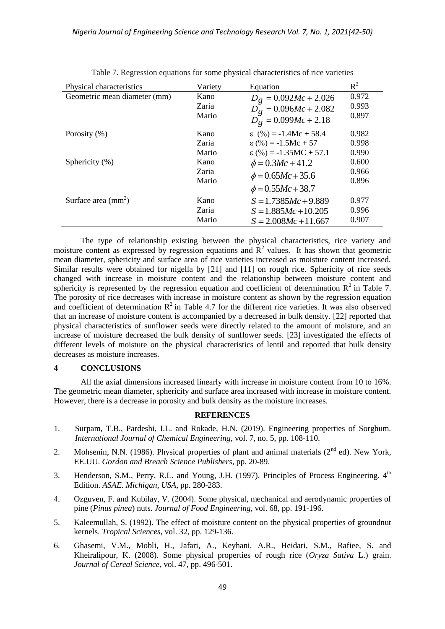| Physical characteristics     | Variety | Equation                          | $R^2$ |
|------------------------------|---------|-----------------------------------|-------|
| Geometric mean diameter (mm) | Kano    | $D_g = 0.092Mc + 2.026$           | 0.972 |
|                              | Zaria   | $D_g = 0.096Mc + 2.082$           | 0.993 |
|                              | Mario   | $D_g = 0.099Mc + 2.18$            | 0.897 |
| Porosity $(\%)$              | Kano    | $\varepsilon$ (%) = -1.4Mc + 58.4 | 0.982 |
|                              | Zaria   | $\varepsilon$ (%) = -1.5Mc + 57   | 0.998 |
|                              | Mario   | $\epsilon$ (%) = -1.35MC + 57.1   | 0.990 |
| Sphericity (%)               | Kano    | $\phi = 0.3Mc + 41.2$             | 0.600 |
|                              | Zaria   | $\phi = 0.65Mc + 35.6$            | 0.966 |
|                              | Mario   | $\phi = 0.55Mc + 38.7$            | 0.896 |
| Surface area $\text{(mm}^2)$ | Kano    | $S = 1.7385Mc + 9.889$            | 0.977 |
|                              | Zaria   | $S = 1.885Mc + 10.205$            | 0.996 |
|                              | Mario   | $S = 2.008Mc + 11.667$            | 0.907 |

|  |  |  | Table 7. Regression equations for some physical characteristics of rice varieties |  |
|--|--|--|-----------------------------------------------------------------------------------|--|
|  |  |  |                                                                                   |  |

The type of relationship existing between the physical characteristics, rice variety and moisture content as expressed by regression equations and  $\mathbb{R}^2$  values. It has shown that geometric mean diameter, sphericity and surface area of rice varieties increased as moisture content increased. Similar results were obtained for nigella by [21] and [11] on rough rice. Sphericity of rice seeds changed with increase in moisture content and the relationship between moisture content and sphericity is represented by the regression equation and coefficient of determination  $\mathbb{R}^2$  in Table 7. The porosity of rice decreases with increase in moisture content as shown by the regression equation and coefficient of determination  $R^2$  in Table 4.7 for the different rice varieties. It was also observed that an increase of moisture content is accompanied by a decreased in bulk density. [22] reported that physical characteristics of sunflower seeds were directly related to the amount of moisture, and an increase of moisture decreased the bulk density of sunflower seeds. [23] investigated the effects of different levels of moisture on the physical characteristics of lentil and reported that bulk density decreases as moisture increases.

## **4 CONCLUSIONS**

All the axial dimensions increased linearly with increase in moisture content from 10 to 16%. The geometric mean diameter, sphericity and surface area increased with increase in moisture content. However, there is a decrease in porosity and bulk density as the moisture increases.

## **REFERENCES**

- 1. Surpam, T.B., Pardeshi, I.L. and Rokade, H.N. (2019). Engineering properties of Sorghum. *International Journal of Chemical Engineering*, vol. 7, no. 5, pp. 108-110.
- 2. Mohsenin, N.N. (1986). Physical properties of plant and animal materials (2<sup>nd</sup> ed). New York, EE.UU. *Gordon and Breach Science Publishers*, pp. 20-89.
- 3. Henderson, S.M., Perry, R.L. and Young, J.H. (1997). Principles of Process Engineering.  $4<sup>th</sup>$ Edition. *ASAE. Michigan, USA,* pp. 280-283.
- 4. Ozguven, F. and Kubilay, V. (2004). Some physical, mechanical and aerodynamic properties of pine (*Pinus pinea*) nuts. *Journal of Food Engineering*, vol. 68, pp. 191-196.
- 5. Kaleemullah, S. (1992). The effect of moisture content on the physical properties of groundnut kernels. *Tropical Sciences*, vol. 32, pp. 129-136.
- 6. Ghasemi, V.M., Mobli, H., Jafari, A., Keyhani, A.R., Heidari, S.M., Rafiee, S. and Kheiralipour, K. (2008). Some physical properties of rough rice (*Oryza Sativa* L.) grain. *Journal of Cereal Science*, vol. 47, pp. 496-501.